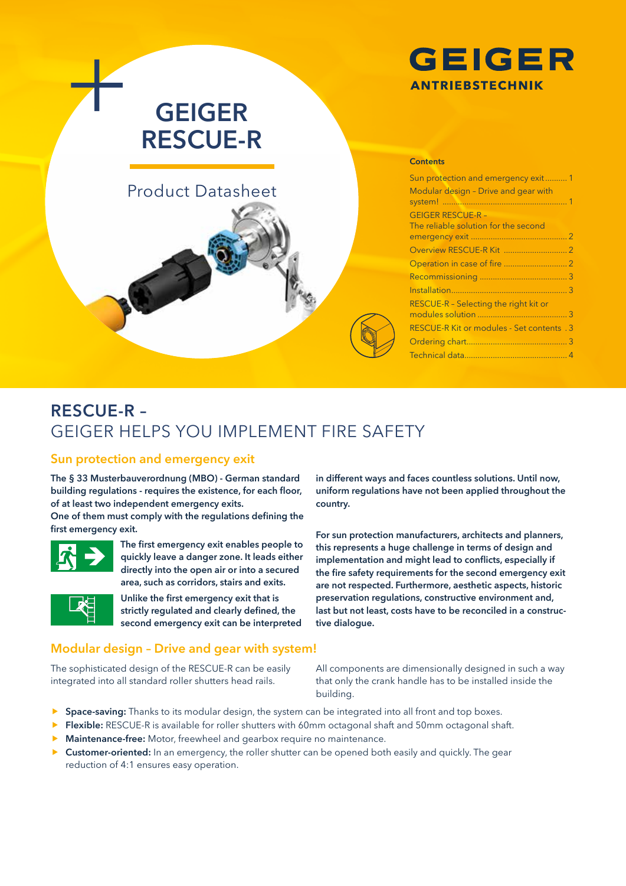

# **GEIGER RESCUE-R**

# Product Datasheet

# **Contents**

| Sun protection and emergency exit1                               |  |
|------------------------------------------------------------------|--|
| Modular design - Drive and gear with                             |  |
| <b>GEIGER RESCUE-R -</b><br>The reliable solution for the second |  |
|                                                                  |  |
|                                                                  |  |
|                                                                  |  |
|                                                                  |  |
|                                                                  |  |
| RESCUE-R - Selecting the right kit or                            |  |
|                                                                  |  |
| <b>RESCUE-R Kit or modules - Set contents . 3</b>                |  |
|                                                                  |  |
|                                                                  |  |
|                                                                  |  |

# **RESCUE-R –**  GEIGER HELPS YOU IMPLEMENT FIRE SAFETY

#### **Sun protection and emergency exit**

**The § 33 Musterbauverordnung (MBO) - German standard building regulations - requires the existence, for each floor, of at least two independent emergency exits.** 

**One of them must comply with the regulations defining the first emergency exit.** 



**The first emergency exit enables people to quickly leave a danger zone. It leads either directly into the open air or into a secured area, such as corridors, stairs and exits.** 



**Unlike the first emergency exit that is strictly regulated and clearly defined, the second emergency exit can be interpreted**  **uniform regulations have not been applied throughout the country.** 

**in different ways and faces countless solutions. Until now,** 

**For sun protection manufacturers, architects and planners, this represents a huge challenge in terms of design and implementation and might lead to conflicts, especially if the fire safety requirements for the second emergency exit are not respected. Furthermore, aesthetic aspects, historic preservation regulations, constructive environment and, last but not least, costs have to be reconciled in a constructive dialogue.**

### **Modular design – Drive and gear with system!**

The sophisticated design of the RESCUE-R can be easily integrated into all standard roller shutters head rails.

All components are dimensionally designed in such a way that only the crank handle has to be installed inside the building.

- **F** Space-saving: Thanks to its modular design, the system can be integrated into all front and top boxes.
- **Flexible:** RESCUE-R is available for roller shutters with 60mm octagonal shaft and 50mm octagonal shaft.
- **Maintenance-free:** Motor, freewheel and gearbox require no maintenance.
- **F** Customer-oriented: In an emergency, the roller shutter can be opened both easily and quickly. The gear reduction of 4:1 ensures easy operation.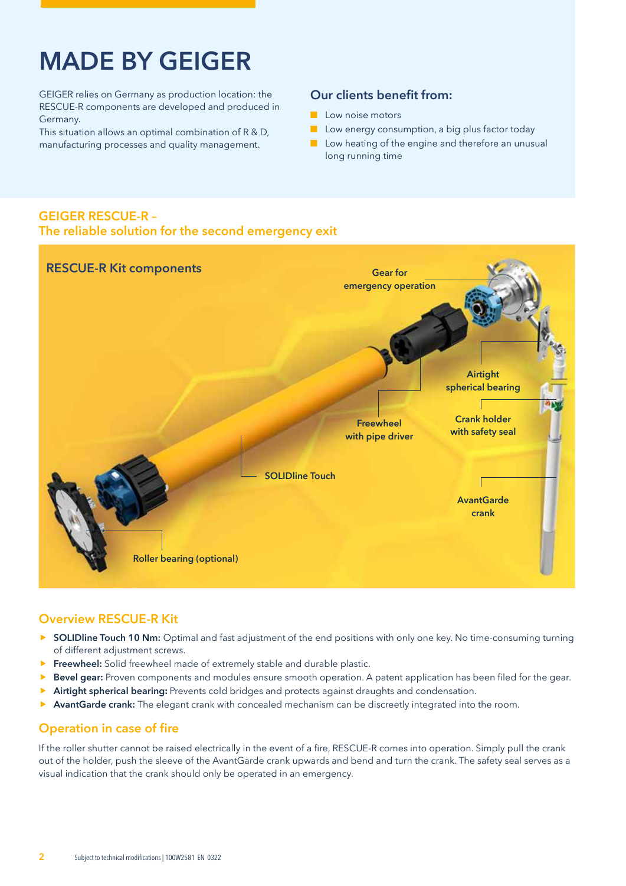# **MADE BY GEIGER**

GEIGER relies on Germany as production location: the RESCUE-R components are developed and produced in Germany.

This situation allows an optimal combination of R & D, manufacturing processes and quality management.

#### **Our clients benefit from:**

- Low noise motors
- Low energy consumption, a big plus factor today
- Low heating of the engine and therefore an unusual long running time

#### **GEIGER RESCUE-R – The reliable solution for the second emergency exit**



#### **Overview RESCUE-R Kit**

- **F** SOLIDline Touch 10 Nm: Optimal and fast adjustment of the end positions with only one key. No time-consuming turning of different adjustment screws.
- **Freewheel:** Solid freewheel made of extremely stable and durable plastic.
- **Bevel gear:** Proven components and modules ensure smooth operation. A patent application has been filed for the gear.
- **Airtight spherical bearing:** Prevents cold bridges and protects against draughts and condensation.
- **AvantGarde crank:** The elegant crank with concealed mechanism can be discreetly integrated into the room.

### **Operation in case of fire**

If the roller shutter cannot be raised electrically in the event of a fire, RESCUE-R comes into operation. Simply pull the crank out of the holder, push the sleeve of the AvantGarde crank upwards and bend and turn the crank. The safety seal serves as a visual indication that the crank should only be operated in an emergency.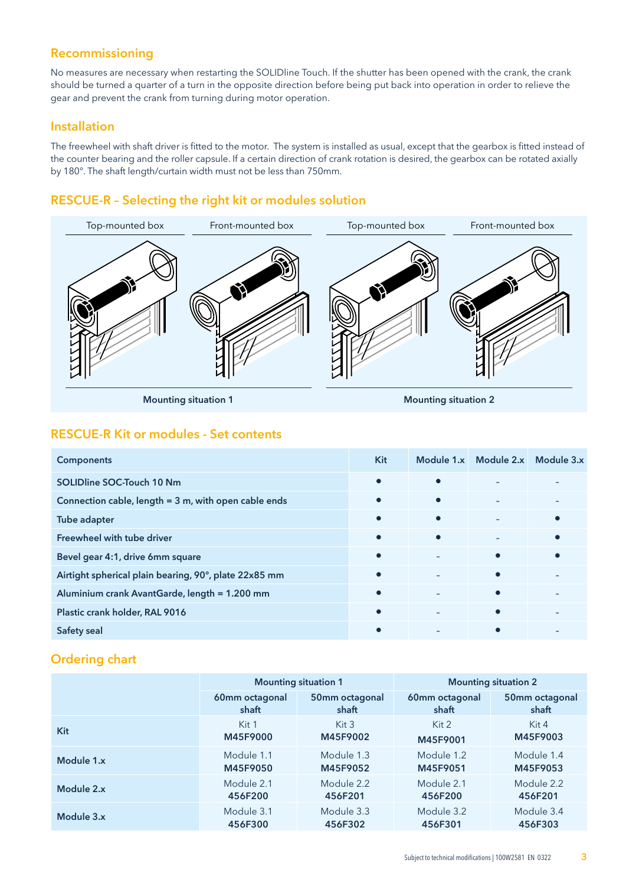## **Recommissioning**

No measures are necessary when restarting the SOLIDline Touch. If the shutter has been opened with the crank, the crank should be turned a quarter of a turn in the opposite direction before being put back into operation in order to relieve the gear and prevent the crank from turning during motor operation.

#### **Installation**

The freewheel with shaft driver is fitted to the motor. The system is installed as usual, except that the gearbox is fitted instead of the counter bearing and the roller capsule. If a certain direction of crank rotation is desired, the gearbox can be rotated axially by 180°. The shaft length/curtain width must not be less than 750mm.

## **RESCUE-R – Selecting the right kit or modules solution**



**Mounting situation 1 Mounting situation 2**

#### **RESCUE-R Kit or modules - Set contents**

| <b>Components</b>                                     | Kit       |           | Module 1.x Module 2.x | Module 3.x |
|-------------------------------------------------------|-----------|-----------|-----------------------|------------|
| <b>SOLIDline SOC-Touch 10 Nm</b>                      | $\bullet$ |           |                       |            |
| Connection cable, length = 3 m, with open cable ends  | $\bullet$ | $\bullet$ |                       |            |
| Tube adapter                                          | $\bullet$ | $\bullet$ |                       | $\bullet$  |
| Freewheel with tube driver                            | $\bullet$ | $\bullet$ |                       | О          |
| Bevel gear 4:1, drive 6mm square                      | $\bullet$ |           | $\bullet$             | $\bullet$  |
| Airtight spherical plain bearing, 90°, plate 22x85 mm | $\bullet$ |           | $\bullet$             |            |
| Aluminium crank AvantGarde, length = 1.200 mm         | $\bullet$ |           | $\bullet$             |            |
| Plastic crank holder, RAL 9016                        | $\bullet$ |           | $\bullet$             |            |
| Safety seal                                           | $\bullet$ |           |                       |            |

#### **Ordering chart**

|            |                | <b>Mounting situation 1</b> |                | <b>Mounting situation 2</b> |
|------------|----------------|-----------------------------|----------------|-----------------------------|
|            | 60mm octagonal | 50mm octagonal              | 60mm octagonal | 50mm octagonal              |
|            | shaft          | shaft                       | shaft          | shaft                       |
| Kit        | Kit 1          | Kit 3                       | Kit 2          | Kit $4$                     |
|            | M45F9000       | M45F9002                    | M45F9001       | M45F9003                    |
| Module 1.x | Module 1.1     | Module 1.3                  | Module 1.2     | Module 1.4                  |
|            | M45F9050       | M45F9052                    | M45F9051       | M45F9053                    |
| Module 2.x | Module 2.1     | Module 2.2                  | Module 2.1     | Module 2.2                  |
|            | 456F200        | 456F201                     | 456F200        | 456F201                     |
| Module 3.x | Module 3.1     | Module 3.3                  | Module 3.2     | Module 3.4                  |
|            | 456F300        | 456F302                     | 456F301        | 456F303                     |